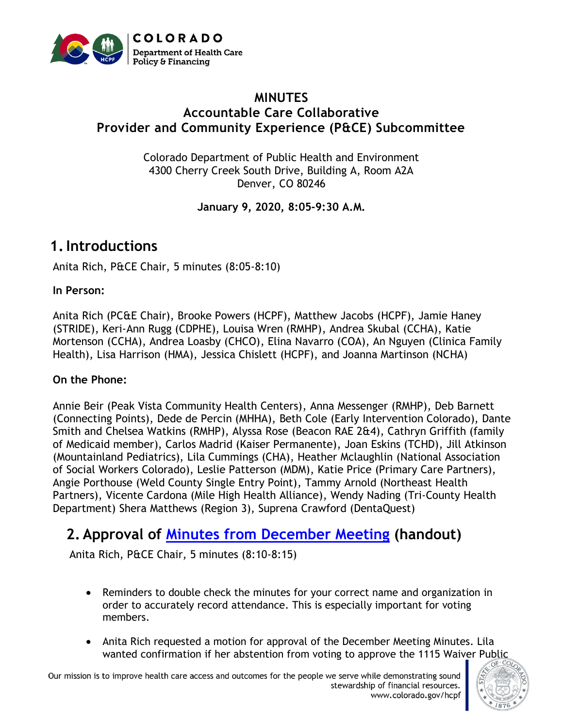

#### **MINUTES Accountable Care Collaborative Provider and Community Experience (P&CE) Subcommittee**

Colorado Department of Public Health and Environment 4300 Cherry Creek South Drive, Building A, Room A2A Denver, CO 80246

**January 9, 2020, 8:05-9:30 A.M.**

# **1.Introductions**

Anita Rich, P&CE Chair, 5 minutes (8:05-8:10)

#### **In Person:**

Anita Rich (PC&E Chair), Brooke Powers (HCPF), Matthew Jacobs (HCPF), Jamie Haney (STRIDE), Keri-Ann Rugg (CDPHE), Louisa Wren (RMHP), Andrea Skubal (CCHA), Katie Mortenson (CCHA), Andrea Loasby (CHCO), Elina Navarro (COA), An Nguyen (Clinica Family Health), Lisa Harrison (HMA), Jessica Chislett (HCPF), and Joanna Martinson (NCHA)

#### **On the Phone:**

Annie Beir (Peak Vista Community Health Centers), Anna Messenger (RMHP), Deb Barnett (Connecting Points), Dede de Percin (MHHA), Beth Cole (Early Intervention Colorado), Dante Smith and Chelsea Watkins (RMHP), Alyssa Rose (Beacon RAE 2&4), Cathryn Griffith (family of Medicaid member), Carlos Madrid (Kaiser Permanente), Joan Eskins (TCHD), Jill Atkinson (Mountainland Pediatrics), Lila Cummings (CHA), Heather Mclaughlin (National Association of Social Workers Colorado), Leslie Patterson (MDM), Katie Price (Primary Care Partners), Angie Porthouse (Weld County Single Entry Point), Tammy Arnold (Northeast Health Partners), Vicente Cardona (Mile High Health Alliance), Wendy Nading (Tri-County Health Department) Shera Matthews (Region 3), Suprena Crawford (DentaQuest)

# **2. Approval of [Minutes from December](https://www.colorado.gov/pacific/sites/default/files/Provider%20and%20Community%20Experience%20Subcommittee%20Final%20Meeting%20Minutes%20December%202019.pdf) Meeting (handout)**

Anita Rich, P&CE Chair, 5 minutes (8:10-8:15)

- Reminders to double check the minutes for your correct name and organization in order to accurately record attendance. This is especially important for voting members.
- Anita Rich requested a motion for approval of the December Meeting Minutes. Lila wanted confirmation if her abstention from voting to approve the 1115 Waiver Public

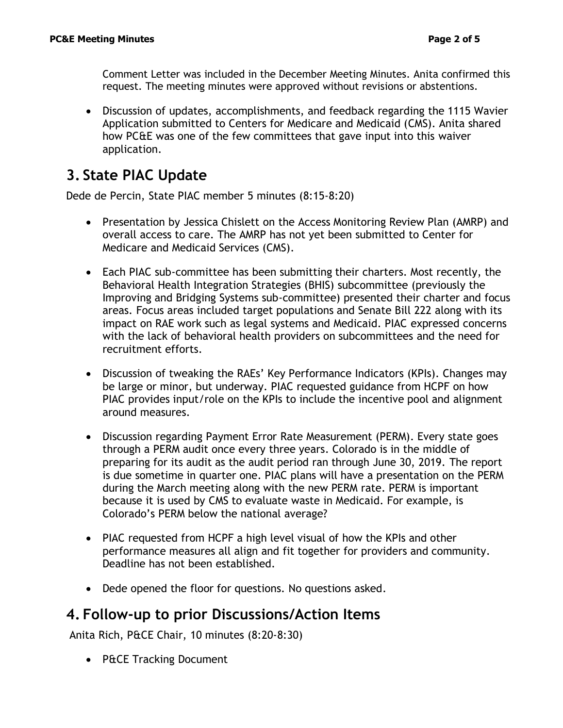Comment Letter was included in the December Meeting Minutes. Anita confirmed this request. The meeting minutes were approved without revisions or abstentions.

• Discussion of updates, accomplishments, and feedback regarding the 1115 Wavier Application submitted to Centers for Medicare and Medicaid (CMS). Anita shared how PC&E was one of the few committees that gave input into this waiver application.

# **3. State PIAC Update**

Dede de Percin, State PIAC member 5 minutes (8:15-8:20)

- Presentation by Jessica Chislett on the Access Monitoring Review Plan (AMRP) and overall access to care. The AMRP has not yet been submitted to Center for Medicare and Medicaid Services (CMS).
- Each PIAC sub-committee has been submitting their charters. Most recently, the Behavioral Health Integration Strategies (BHIS) subcommittee (previously the Improving and Bridging Systems sub-committee) presented their charter and focus areas. Focus areas included target populations and Senate Bill 222 along with its impact on RAE work such as legal systems and Medicaid. PIAC expressed concerns with the lack of behavioral health providers on subcommittees and the need for recruitment efforts.
- Discussion of tweaking the RAEs' Key Performance Indicators (KPIs). Changes may be large or minor, but underway. PIAC requested guidance from HCPF on how PIAC provides input/role on the KPIs to include the incentive pool and alignment around measures.
- Discussion regarding Payment Error Rate Measurement (PERM). Every state goes through a PERM audit once every three years. Colorado is in the middle of preparing for its audit as the audit period ran through June 30, 2019. The report is due sometime in quarter one. PIAC plans will have a presentation on the PERM during the March meeting along with the new PERM rate. PERM is important because it is used by CMS to evaluate waste in Medicaid. For example, is Colorado's PERM below the national average?
- PIAC requested from HCPF a high level visual of how the KPIs and other performance measures all align and fit together for providers and community. Deadline has not been established.
- Dede opened the floor for questions. No questions asked.

## **4. Follow-up to prior Discussions/Action Items**

Anita Rich, P&CE Chair, 10 minutes (8:20-8:30)

• P&CE Tracking Document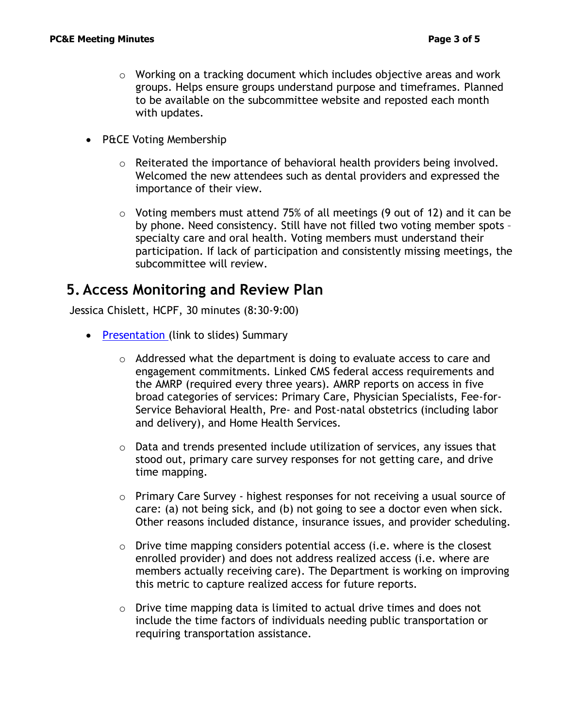- $\circ$  Working on a tracking document which includes objective areas and work groups. Helps ensure groups understand purpose and timeframes. Planned to be available on the subcommittee website and reposted each month with updates.
- P&CE Voting Membership
	- $\circ$  Reiterated the importance of behavioral health providers being involved. Welcomed the new attendees such as dental providers and expressed the importance of their view.
	- o Voting members must attend 75% of all meetings (9 out of 12) and it can be by phone. Need consistency. Still have not filled two voting member spots – specialty care and oral health. Voting members must understand their participation. If lack of participation and consistently missing meetings, the subcommittee will review.

## **5. Access Monitoring and Review Plan**

Jessica Chislett, HCPF, 30 minutes (8:30-9:00)

- [Presentation](https://www.colorado.gov/pacific/sites/default/files/Provider%20and%20Community%20Experience%20Presentation%20January%202020.pdf) (link to slides) Summary
	- o Addressed what the department is doing to evaluate access to care and engagement commitments. Linked CMS federal access requirements and the AMRP (required every three years). AMRP reports on access in five broad categories of services: Primary Care, Physician Specialists, Fee-for-Service Behavioral Health, Pre- and Post-natal obstetrics (including labor and delivery), and Home Health Services.
	- $\circ$  Data and trends presented include utilization of services, any issues that stood out, primary care survey responses for not getting care, and drive time mapping.
	- o Primary Care Survey highest responses for not receiving a usual source of care: (a) not being sick, and (b) not going to see a doctor even when sick. Other reasons included distance, insurance issues, and provider scheduling.
	- o Drive time mapping considers potential access (i.e. where is the closest enrolled provider) and does not address realized access (i.e. where are members actually receiving care). The Department is working on improving this metric to capture realized access for future reports.
	- $\circ$  Drive time mapping data is limited to actual drive times and does not include the time factors of individuals needing public transportation or requiring transportation assistance.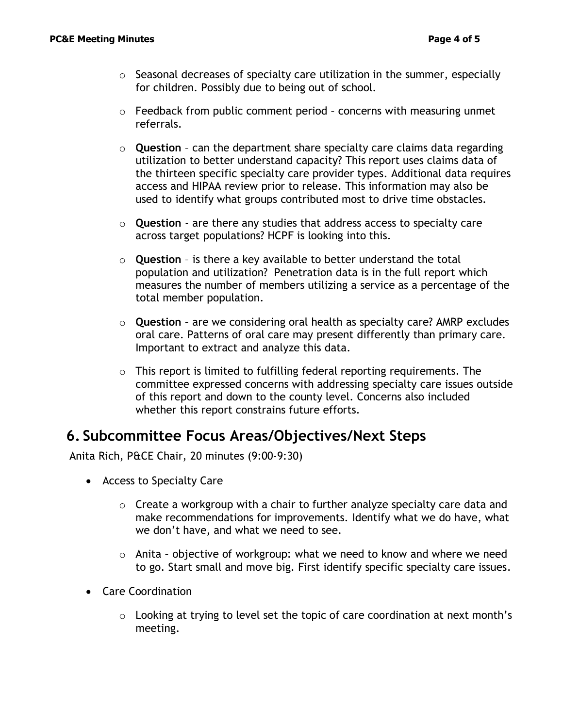- $\circ$  Seasonal decreases of specialty care utilization in the summer, especially for children. Possibly due to being out of school.
- $\circ$  Feedback from public comment period concerns with measuring unmet referrals.
- o **Question** can the department share specialty care claims data regarding utilization to better understand capacity? This report uses claims data of the thirteen specific specialty care provider types. Additional data requires access and HIPAA review prior to release. This information may also be used to identify what groups contributed most to drive time obstacles.
- o **Question** are there any studies that address access to specialty care across target populations? HCPF is looking into this.
- o **Question** is there a key available to better understand the total population and utilization? Penetration data is in the full report which measures the number of members utilizing a service as a percentage of the total member population.
- o **Question** are we considering oral health as specialty care? AMRP excludes oral care. Patterns of oral care may present differently than primary care. Important to extract and analyze this data.
- $\circ$  This report is limited to fulfilling federal reporting requirements. The committee expressed concerns with addressing specialty care issues outside of this report and down to the county level. Concerns also included whether this report constrains future efforts.

## **6. Subcommittee Focus Areas/Objectives/Next Steps**

Anita Rich, P&CE Chair, 20 minutes (9:00-9:30)

- Access to Specialty Care
	- o Create a workgroup with a chair to further analyze specialty care data and make recommendations for improvements. Identify what we do have, what we don't have, and what we need to see.
	- o Anita objective of workgroup: what we need to know and where we need to go. Start small and move big. First identify specific specialty care issues.
- Care Coordination
	- $\circ$  Looking at trying to level set the topic of care coordination at next month's meeting.